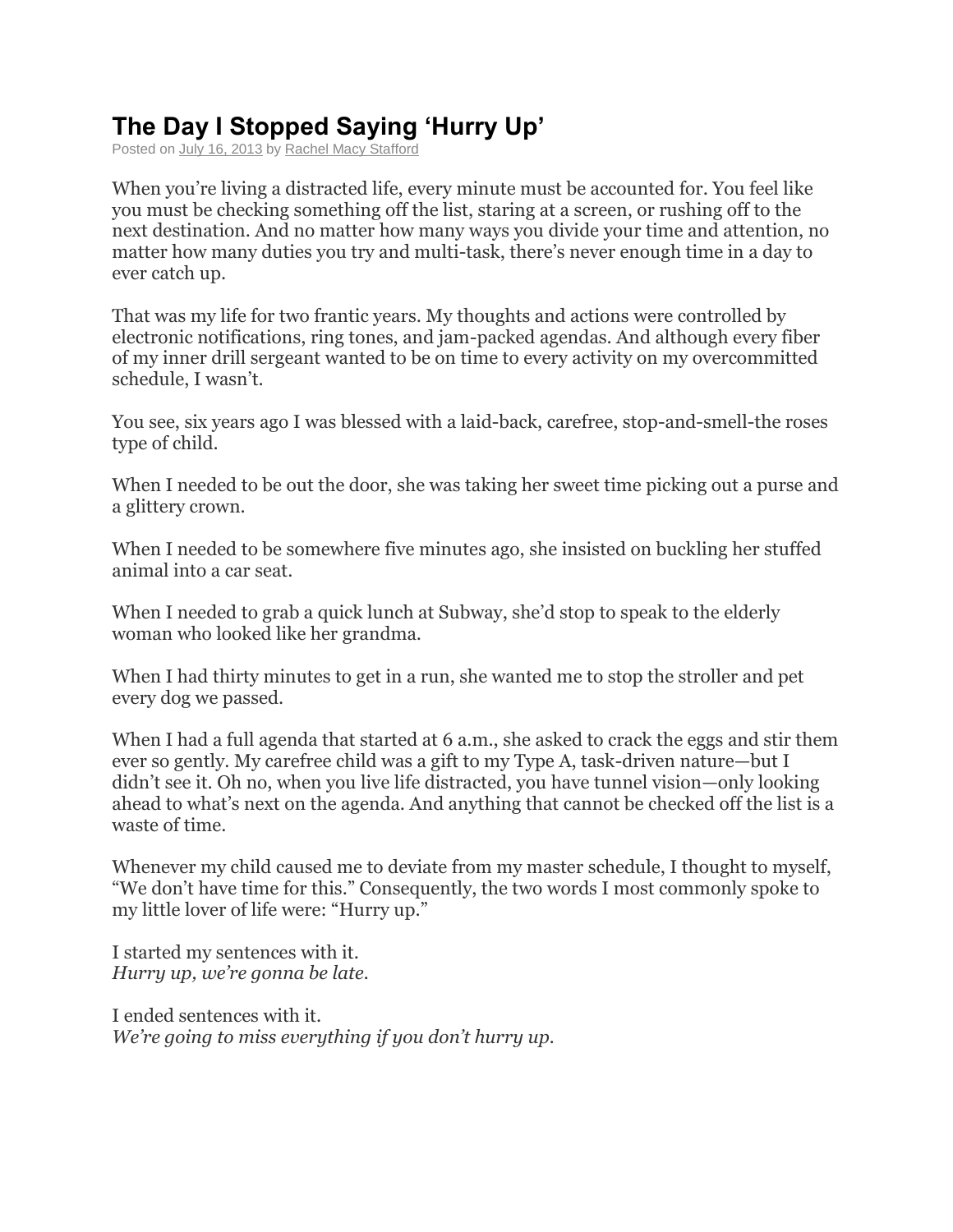## **The Day I Stopped Saying 'Hurry Up'**

Posted on July 16, [2013](http://www.handsfreemama.com/2013/07/16/the-day-i-stopped-saying-hurry-up/) by Rachel Macy [Stafford](http://www.handsfreemama.com/author/admin/)

When you're living a distracted life, every minute must be accounted for. You feel like you must be checking something off the list, staring at a screen, or rushing off to the next destination. And no matter how many ways you divide your time and attention, no matter how many duties you try and multi-task, there's never enough time in a day to ever catch up.

That was my life for two frantic years. My thoughts and actions were controlled by electronic notifications, ring tones, and jam-packed agendas. And although every fiber of my inner drill sergeant wanted to be on time to every activity on my overcommitted schedule, I wasn't.

You see, six years ago I was blessed with a laid-back, carefree, stop-and-smell-the roses type of child.

When I needed to be out the door, she was taking her sweet time picking out a purse and a glittery crown.

When I needed to be somewhere five minutes ago, she insisted on buckling her stuffed animal into a car seat.

When I needed to grab a quick lunch at Subway, she'd stop to speak to the elderly woman who looked like her grandma.

When I had thirty minutes to get in a run, she wanted me to stop the stroller and pet every dog we passed.

When I had a full agenda that started at 6 a.m., she asked to crack the eggs and stir them ever so gently. My carefree child was a gift to my Type A, task-driven nature—but I didn't see it. Oh no, when you live life distracted, you have tunnel vision—only looking ahead to what's next on the agenda. And anything that cannot be checked off the list is a waste of time.

Whenever my child caused me to deviate from my master schedule, I thought to myself, "We don't have time for this." Consequently, the two words I most commonly spoke to my little lover of life were: "Hurry up."

I started my sentences with it. *Hurry up, we're gonna be late.*

I ended sentences with it. *We're going to miss everything if you don't hurry up.*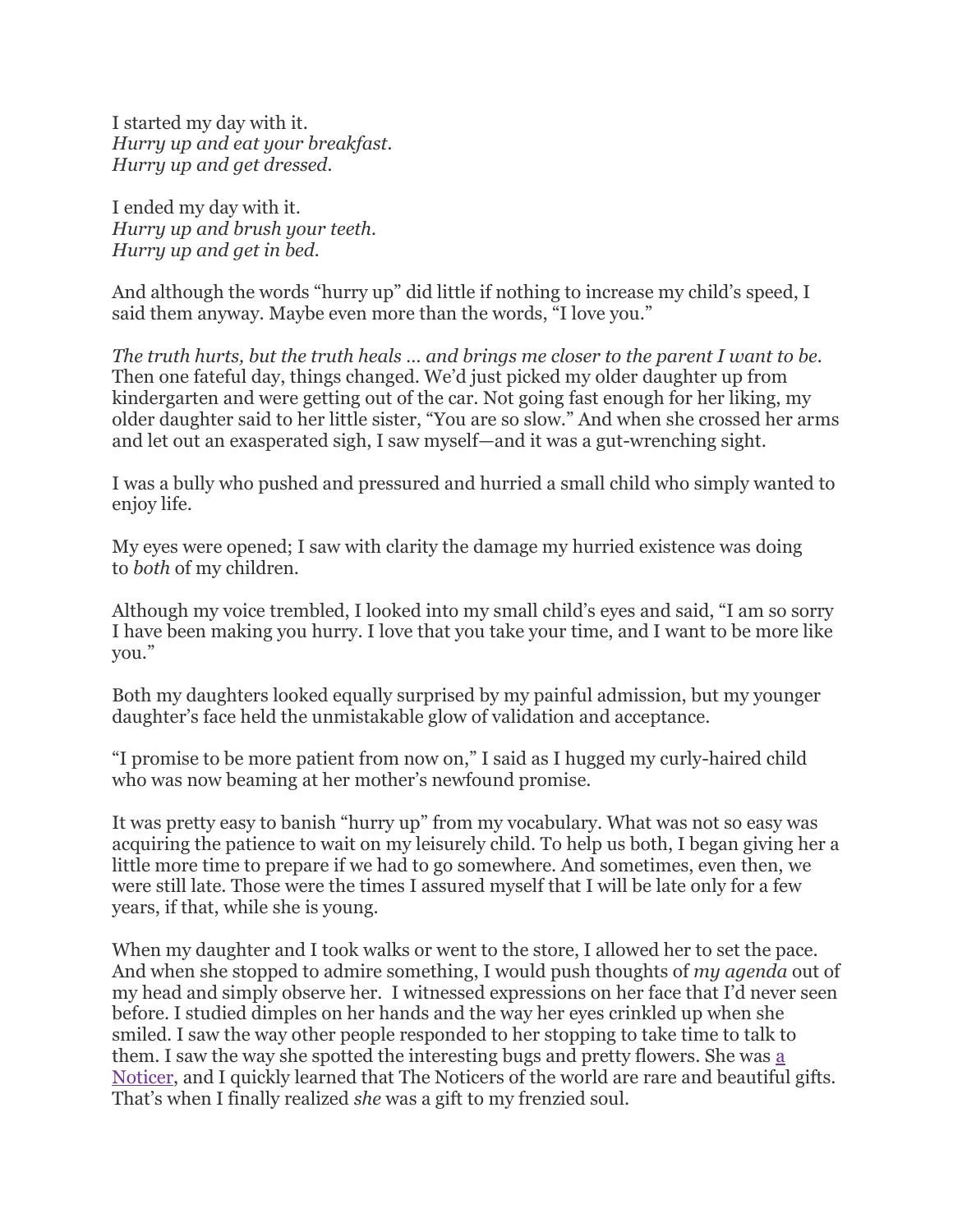I started my day with it. *Hurry up and eat your breakfast. Hurry up and get dressed.*

I ended my day with it. *Hurry up and brush your teeth. Hurry up and get in bed.*

And although the words "hurry up" did little if nothing to increase my child's speed, I said them anyway. Maybe even more than the words, "I love you."

*The truth hurts, but the truth heals … and brings me closer to the parent I want to be.* Then one fateful day, things changed. We'd just picked my older daughter up from kindergarten and were getting out of the car. Not going fast enough for her liking, my older daughter said to her little sister, "You are so slow." And when she crossed her arms and let out an exasperated sigh, I saw myself—and it was a gut-wrenching sight.

I was a bully who pushed and pressured and hurried a small child who simply wanted to enjoy life.

My eyes were opened; I saw with clarity the damage my hurried existence was doing to *both* of my children.

Although my voice trembled, I looked into my small child's eyes and said, "I am so sorry I have been making you hurry. I love that you take your time, and I want to be more like you."

Both my daughters looked equally surprised by my painful admission, but my younger daughter's face held the unmistakable glow of validation and acceptance.

"I promise to be more patient from now on," I said as I hugged my curly-haired child who was now beaming at her mother's newfound promise.

It was pretty easy to banish "hurry up" from my vocabulary. What was not so easy was acquiring the patience to wait on my leisurely child. To help us both, I began giving her a little more time to prepare if we had to go somewhere. And sometimes, even then, we were still late. Those were the times I assured myself that I will be late only for a few years, if that, while she is young.

When my daughter and I took walks or went to the store, I allowed her to set the pace. And when she stopped to admire something, I would push thoughts of *my agenda* out of my head and simply observe her. I witnessed expressions on her face that I'd never seen before. I studied dimples on her hands and the way her eyes crinkled up when she smiled. I saw the way other people responded to her stopping to take time to talk to them. I saw the way she spotted the interesting bugs and pretty flowers. She was [a](http://www.handsfreemama.com/2012/10/16/notice-the-good/) [Noticer,](http://www.handsfreemama.com/2012/10/16/notice-the-good/) and I quickly learned that The Noticers of the world are rare and beautiful gifts. That's when I finally realized *she* was a gift to my frenzied soul.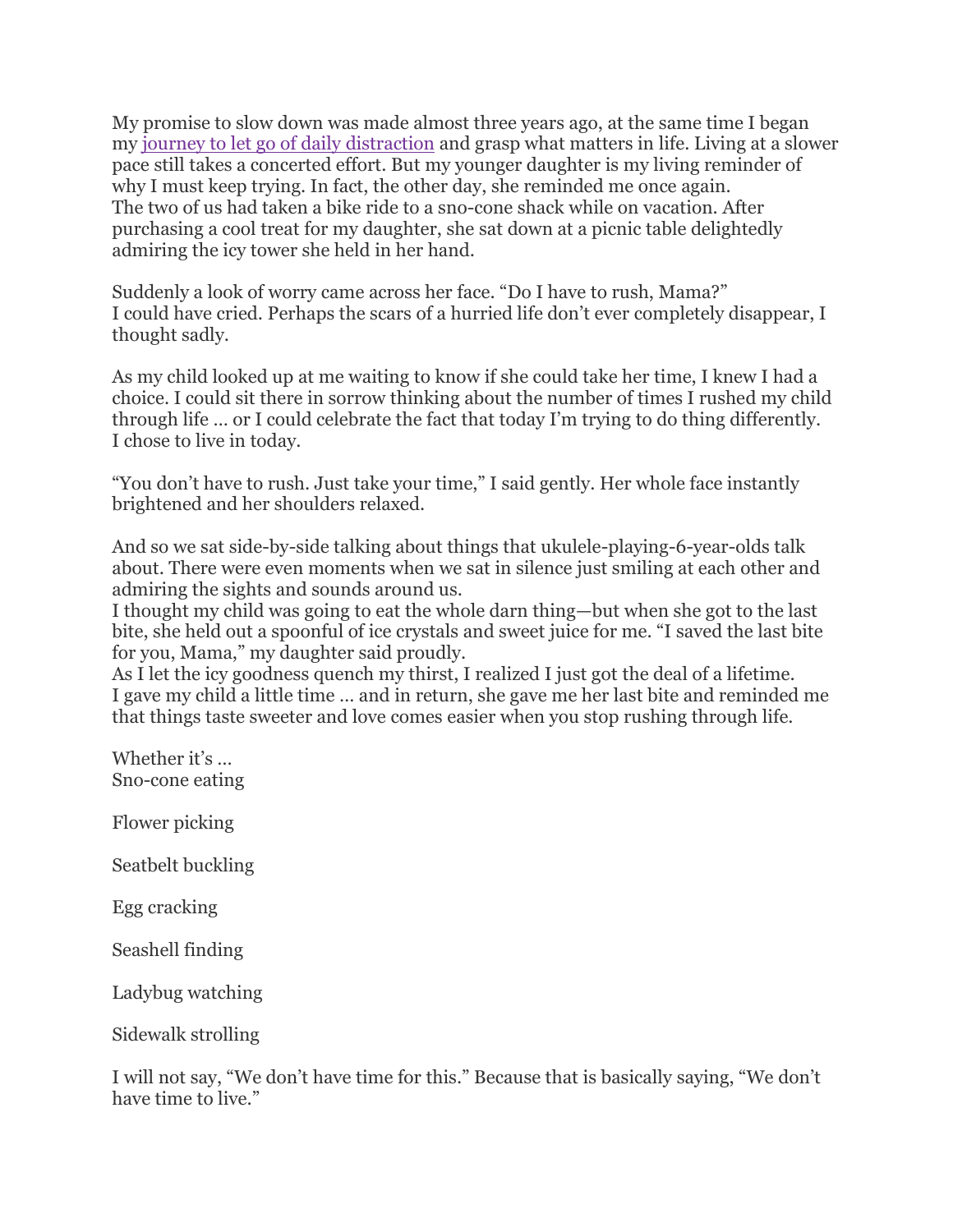My promise to slow down was made almost three years ago, at the same time I began my journey to let go of daily [distraction](http://www.handsfreemama.com/about-hands-free/) and grasp what matters in life. Living at a slower pace still takes a concerted effort. But my younger daughter is my living reminder of why I must keep trying. In fact, the other day, she reminded me once again. The two of us had taken a bike ride to a sno-cone shack while on vacation. After purchasing a cool treat for my daughter, she sat down at a picnic table delightedly admiring the icy tower she held in her hand.

Suddenly a look of worry came across her face. "Do I have to rush, Mama?" I could have cried. Perhaps the scars of a hurried life don't ever completely disappear, I thought sadly.

As my child looked up at me waiting to know if she could take her time, I knew I had a choice. I could sit there in sorrow thinking about the number of times I rushed my child through life … or I could celebrate the fact that today I'm trying to do thing differently. I chose to live in today.

"You don't have to rush. Just take your time," I said gently. Her whole face instantly brightened and her shoulders relaxed.

And so we sat side-by-side talking about things that ukulele-playing-6-year-olds talk about. There were even moments when we sat in silence just smiling at each other and admiring the sights and sounds around us.

I thought my child was going to eat the whole darn thing—but when she got to the last bite, she held out a spoonful of ice crystals and sweet juice for me. "I saved the last bite for you, Mama," my daughter said proudly.

As I let the icy goodness quench my thirst, I realized I just got the deal of a lifetime. I gave my child a little time … and in return, she gave me her last bite and reminded me that things taste sweeter and love comes easier when you stop rushing through life.

Whether it's … Sno-cone eating

Flower picking

Seatbelt buckling

Egg cracking

Seashell finding

Ladybug watching

Sidewalk strolling

I will not say, "We don't have time for this." Because that is basically saying, "We don't have time to live."